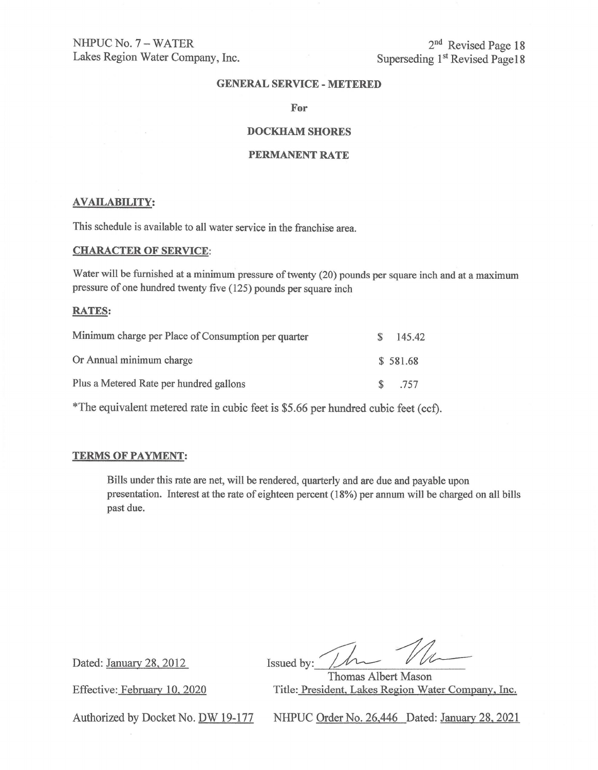NHPUC No. 7 - WATER Lakes Region Water Company, Inc.

2<sup>nd</sup> Revised Page 18 Superseding 1<sup>st</sup> Revised Page 18

#### **GENERAL SERVICE-METERED**

**For** 

# **DOCKHAM SHORES**

#### **PERMANENT RATE**

#### **AVAILABILITY:**

This schedule is available to all water service in the franchise area.

#### **CHARACTER OF SERVICE:**

Water will be furnished at a minimum pressure of twenty (20) pounds per square inch and at a maximum pressure of one hundred twenty five (125) pounds per square inch

#### **RATES:**

| Minimum charge per Place of Consumption per quarter | SS-           | 145.42   |
|-----------------------------------------------------|---------------|----------|
| Or Annual minimum charge                            |               | \$581.68 |
| Plus a Metered Rate per hundred gallons             | $\mathcal{S}$ | .757     |

\*The equivalent metered rate in cubic feet is \$5.66 per hundred cubic feet (cd).

#### **TERMS OF PAYMENT:**

Bills under this rate are net, will be rendered, quarterly and are due and payable upon presentation. Interest at the rate of eighteen percent ( 18%) per annum will be charged on all bills past due.

Dated: January 28, 2012

Effective: February 10, 2020

Issued by: <u>Number 1988</u>

Thomas Albert Mason Title: President, Lakes Region Water Company, Inc.

Authorized by Docket No. DW 19-177

NHPUC Order No. 26,446 Dated: January 28, 2021